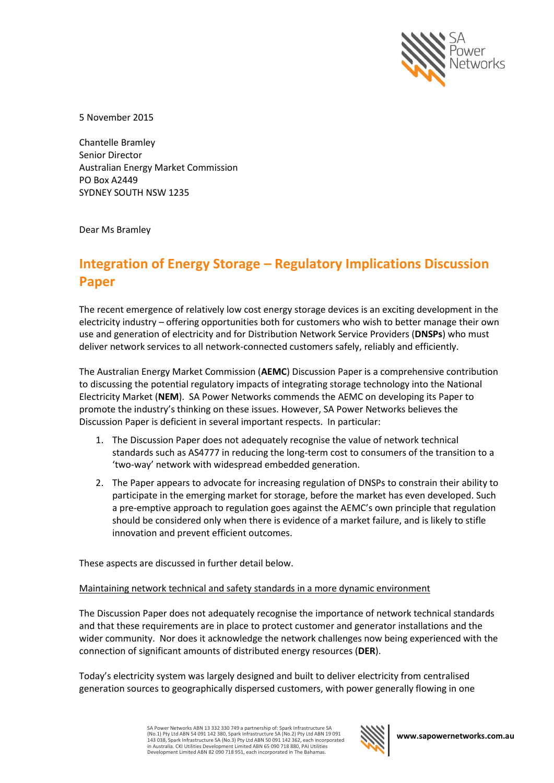

5 November 2015

Chantelle Bramley Senior Director Australian Energy Market Commission PO Box A2449 SYDNEY SOUTH NSW 1235

Dear Ms Bramley

# **Integration of Energy Storage – Regulatory Implications Discussion Paper**

The recent emergence of relatively low cost energy storage devices is an exciting development in the electricity industry – offering opportunities both for customers who wish to better manage their own use and generation of electricity and for Distribution Network Service Providers (**DNSPs**) who must deliver network services to all network-connected customers safely, reliably and efficiently.

The Australian Energy Market Commission (**AEMC**) Discussion Paper is a comprehensive contribution to discussing the potential regulatory impacts of integrating storage technology into the National Electricity Market (**NEM**). SA Power Networks commends the AEMC on developing its Paper to promote the industry's thinking on these issues. However, SA Power Networks believes the Discussion Paper is deficient in several important respects. In particular:

- 1. The Discussion Paper does not adequately recognise the value of network technical standards such as AS4777 in reducing the long-term cost to consumers of the transition to a 'two-way' network with widespread embedded generation.
- 2. The Paper appears to advocate for increasing regulation of DNSPs to constrain their ability to participate in the emerging market for storage, before the market has even developed. Such a pre-emptive approach to regulation goes against the AEMC's own principle that regulation should be considered only when there is evidence of a market failure, and is likely to stifle innovation and prevent efficient outcomes.

These aspects are discussed in further detail below.

## Maintaining network technical and safety standards in a more dynamic environment

The Discussion Paper does not adequately recognise the importance of network technical standards and that these requirements are in place to protect customer and generator installations and the wider community. Nor does it acknowledge the network challenges now being experienced with the connection of significant amounts of distributed energy resources (**DER**).

Today's electricity system was largely designed and built to deliver electricity from centralised generation sources to geographically dispersed customers, with power generally flowing in one

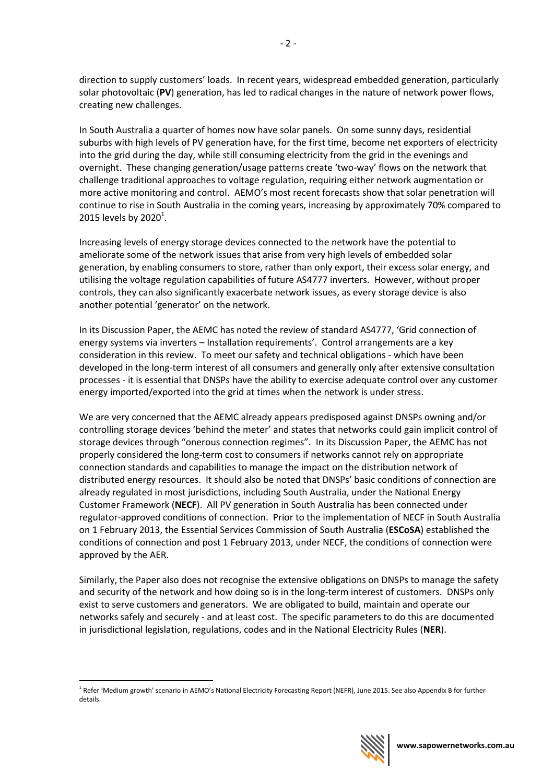direction to supply customers' loads. In recent years, widespread embedded generation, particularly solar photovoltaic (**PV**) generation, has led to radical changes in the nature of network power flows, creating new challenges.

In South Australia a quarter of homes now have solar panels. On some sunny days, residential suburbs with high levels of PV generation have, for the first time, become net exporters of electricity into the grid during the day, while still consuming electricity from the grid in the evenings and overnight. These changing generation/usage patterns create 'two-way' flows on the network that challenge traditional approaches to voltage regulation, requiring either network augmentation or more active monitoring and control. AEMO's most recent forecasts show that solar penetration will continue to rise in South Australia in the coming years, increasing by approximately 70% compared to 2015 levels by  $2020^1$ .

Increasing levels of energy storage devices connected to the network have the potential to ameliorate some of the network issues that arise from very high levels of embedded solar generation, by enabling consumers to store, rather than only export, their excess solar energy, and utilising the voltage regulation capabilities of future AS4777 inverters. However, without proper controls, they can also significantly exacerbate network issues, as every storage device is also another potential 'generator' on the network.

In its Discussion Paper, the AEMC has noted the review of standard AS4777, 'Grid connection of energy systems via inverters – Installation requirements'. Control arrangements are a key consideration in this review. To meet our safety and technical obligations - which have been developed in the long-term interest of all consumers and generally only after extensive consultation processes - it is essential that DNSPs have the ability to exercise adequate control over any customer energy imported/exported into the grid at times when the network is under stress.

We are very concerned that the AEMC already appears predisposed against DNSPs owning and/or controlling storage devices 'behind the meter' and states that networks could gain implicit control of storage devices through "onerous connection regimes". In its Discussion Paper, the AEMC has not properly considered the long-term cost to consumers if networks cannot rely on appropriate connection standards and capabilities to manage the impact on the distribution network of distributed energy resources. It should also be noted that DNSPs' basic conditions of connection are already regulated in most jurisdictions, including South Australia, under the National Energy Customer Framework (**NECF**). All PV generation in South Australia has been connected under regulator-approved conditions of connection. Prior to the implementation of NECF in South Australia on 1 February 2013, the Essential Services Commission of South Australia (**ESCoSA**) established the conditions of connection and post 1 February 2013, under NECF, the conditions of connection were approved by the AER.

Similarly, the Paper also does not recognise the extensive obligations on DNSPs to manage the safety and security of the network and how doing so is in the long-term interest of customers. DNSPs only exist to serve customers and generators. We are obligated to build, maintain and operate our networks safely and securely - and at least cost. The specific parameters to do this are documented in jurisdictional legislation, regulations, codes and in the National Electricity Rules (**NER**).

1



<sup>&</sup>lt;sup>1</sup> Refer 'Medium growth' scenario in AEMO's National Electricity Forecasting Report (NEFR), June 2015. See also Appendix B for further details.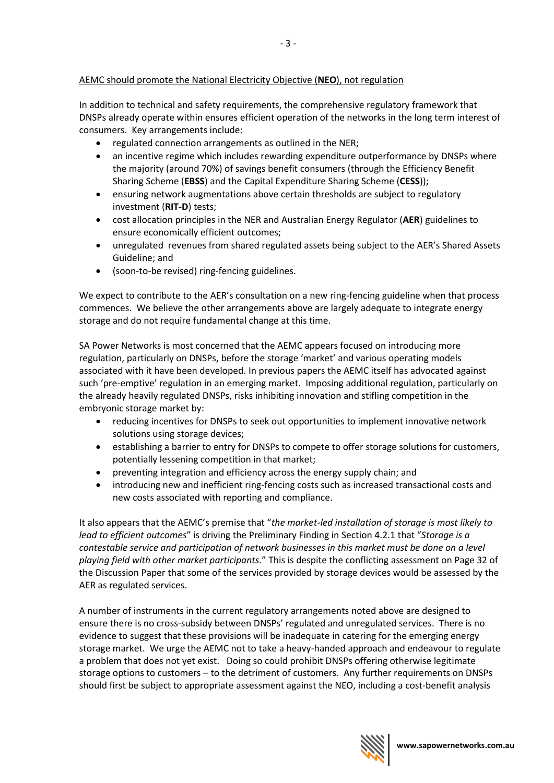# AEMC should promote the National Electricity Objective (**NEO**), not regulation

In addition to technical and safety requirements, the comprehensive regulatory framework that DNSPs already operate within ensures efficient operation of the networks in the long term interest of consumers. Key arrangements include:

- regulated connection arrangements as outlined in the NER;
- an incentive regime which includes rewarding expenditure outperformance by DNSPs where the majority (around 70%) of savings benefit consumers (through the Efficiency Benefit Sharing Scheme (**EBSS**) and the Capital Expenditure Sharing Scheme (**CESS**));
- ensuring network augmentations above certain thresholds are subject to regulatory investment (**RIT-D**) tests;
- cost allocation principles in the NER and Australian Energy Regulator (**AER**) guidelines to ensure economically efficient outcomes;
- unregulated revenues from shared regulated assets being subject to the AER's Shared Assets Guideline; and
- (soon-to-be revised) ring-fencing guidelines.

We expect to contribute to the AER's consultation on a new ring-fencing guideline when that process commences. We believe the other arrangements above are largely adequate to integrate energy storage and do not require fundamental change at this time.

SA Power Networks is most concerned that the AEMC appears focused on introducing more regulation, particularly on DNSPs, before the storage 'market' and various operating models associated with it have been developed. In previous papers the AEMC itself has advocated against such 'pre-emptive' regulation in an emerging market. Imposing additional regulation, particularly on the already heavily regulated DNSPs, risks inhibiting innovation and stifling competition in the embryonic storage market by:

- reducing incentives for DNSPs to seek out opportunities to implement innovative network solutions using storage devices;
- establishing a barrier to entry for DNSPs to compete to offer storage solutions for customers, potentially lessening competition in that market;
- preventing integration and efficiency across the energy supply chain; and
- introducing new and inefficient ring-fencing costs such as increased transactional costs and new costs associated with reporting and compliance.

It also appears that the AEMC's premise that "*the market-led installation of storage is most likely to lead to efficient outcomes*" is driving the Preliminary Finding in Section 4.2.1 that "*Storage is a contestable service and participation of network businesses in this market must be done on a level playing field with other market participants.*" This is despite the conflicting assessment on Page 32 of the Discussion Paper that some of the services provided by storage devices would be assessed by the AER as regulated services.

A number of instruments in the current regulatory arrangements noted above are designed to ensure there is no cross-subsidy between DNSPs' regulated and unregulated services. There is no evidence to suggest that these provisions will be inadequate in catering for the emerging energy storage market. We urge the AEMC not to take a heavy-handed approach and endeavour to regulate a problem that does not yet exist. Doing so could prohibit DNSPs offering otherwise legitimate storage options to customers – to the detriment of customers. Any further requirements on DNSPs should first be subject to appropriate assessment against the NEO, including a cost-benefit analysis

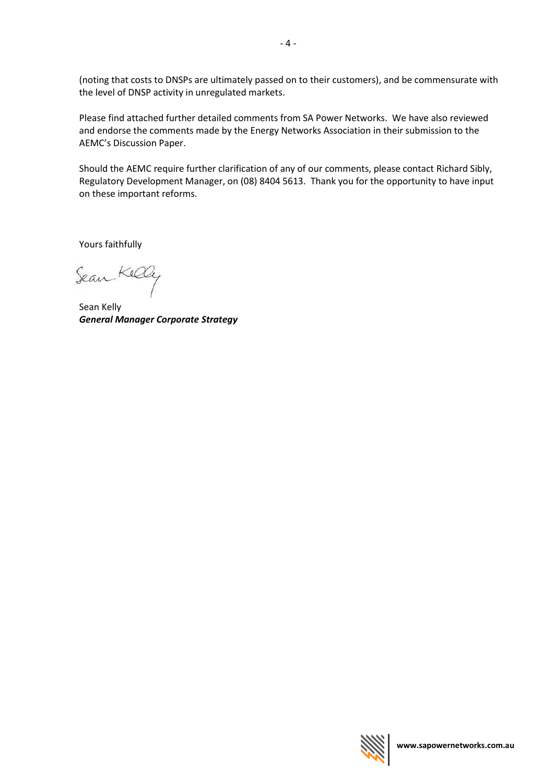(noting that costs to DNSPs are ultimately passed on to their customers), and be commensurate with the level of DNSP activity in unregulated markets.

Please find attached further detailed comments from SA Power Networks. We have also reviewed and endorse the comments made by the Energy Networks Association in their submission to the AEMC's Discussion Paper.

Should the AEMC require further clarification of any of our comments, please contact Richard Sibly, Regulatory Development Manager, on (08) 8404 5613. Thank you for the opportunity to have input on these important reforms.

Yours faithfully

Sean Kelly

Sean Kelly *General Manager Corporate Strategy*

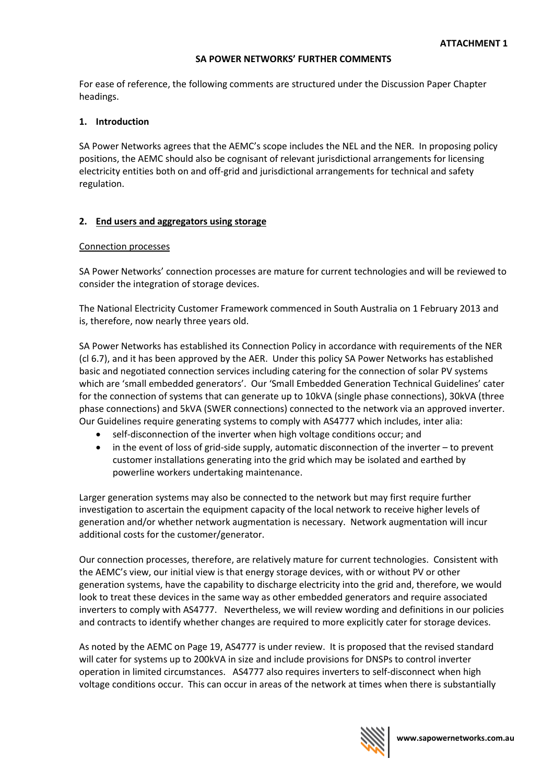## **SA POWER NETWORKS' FURTHER COMMENTS**

For ease of reference, the following comments are structured under the Discussion Paper Chapter headings.

# **1. Introduction**

SA Power Networks agrees that the AEMC's scope includes the NEL and the NER. In proposing policy positions, the AEMC should also be cognisant of relevant jurisdictional arrangements for licensing electricity entities both on and off-grid and jurisdictional arrangements for technical and safety regulation.

## **2. End users and aggregators using storage**

## Connection processes

SA Power Networks' connection processes are mature for current technologies and will be reviewed to consider the integration of storage devices.

The National Electricity Customer Framework commenced in South Australia on 1 February 2013 and is, therefore, now nearly three years old.

SA Power Networks has established its Connection Policy in accordance with requirements of the NER (cl 6.7), and it has been approved by the AER. Under this policy SA Power Networks has established basic and negotiated connection services including catering for the connection of solar PV systems which are 'small embedded generators'. Our 'Small Embedded Generation Technical Guidelines' cater for the connection of systems that can generate up to 10kVA (single phase connections), 30kVA (three phase connections) and 5kVA (SWER connections) connected to the network via an approved inverter. Our Guidelines require generating systems to comply with AS4777 which includes, inter alia:

- self-disconnection of the inverter when high voltage conditions occur; and
- in the event of loss of grid-side supply, automatic disconnection of the inverter to prevent customer installations generating into the grid which may be isolated and earthed by powerline workers undertaking maintenance.

Larger generation systems may also be connected to the network but may first require further investigation to ascertain the equipment capacity of the local network to receive higher levels of generation and/or whether network augmentation is necessary. Network augmentation will incur additional costs for the customer/generator.

Our connection processes, therefore, are relatively mature for current technologies. Consistent with the AEMC's view, our initial view is that energy storage devices, with or without PV or other generation systems, have the capability to discharge electricity into the grid and, therefore, we would look to treat these devices in the same way as other embedded generators and require associated inverters to comply with AS4777. Nevertheless, we will review wording and definitions in our policies and contracts to identify whether changes are required to more explicitly cater for storage devices.

As noted by the AEMC on Page 19, AS4777 is under review. It is proposed that the revised standard will cater for systems up to 200kVA in size and include provisions for DNSPs to control inverter operation in limited circumstances. AS4777 also requires inverters to self-disconnect when high voltage conditions occur. This can occur in areas of the network at times when there is substantially

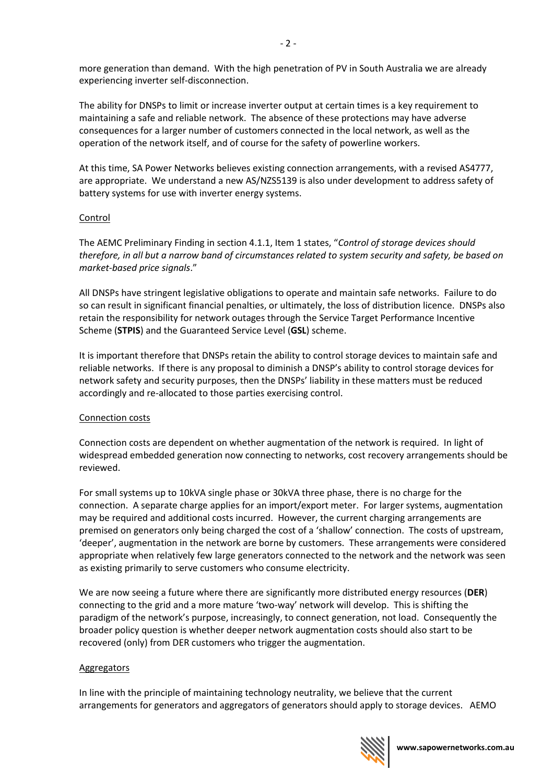more generation than demand. With the high penetration of PV in South Australia we are already experiencing inverter self-disconnection.

The ability for DNSPs to limit or increase inverter output at certain times is a key requirement to maintaining a safe and reliable network. The absence of these protections may have adverse consequences for a larger number of customers connected in the local network, as well as the operation of the network itself, and of course for the safety of powerline workers.

At this time, SA Power Networks believes existing connection arrangements, with a revised AS4777, are appropriate. We understand a new AS/NZS5139 is also under development to address safety of battery systems for use with inverter energy systems.

# Control

The AEMC Preliminary Finding in section 4.1.1, Item 1 states, "*Control of storage devices should therefore, in all but a narrow band of circumstances related to system security and safety, be based on market-based price signals*."

All DNSPs have stringent legislative obligations to operate and maintain safe networks. Failure to do so can result in significant financial penalties, or ultimately, the loss of distribution licence. DNSPs also retain the responsibility for network outages through the Service Target Performance Incentive Scheme (**STPIS**) and the Guaranteed Service Level (**GSL**) scheme.

It is important therefore that DNSPs retain the ability to control storage devices to maintain safe and reliable networks. If there is any proposal to diminish a DNSP's ability to control storage devices for network safety and security purposes, then the DNSPs' liability in these matters must be reduced accordingly and re-allocated to those parties exercising control.

## Connection costs

Connection costs are dependent on whether augmentation of the network is required. In light of widespread embedded generation now connecting to networks, cost recovery arrangements should be reviewed.

For small systems up to 10kVA single phase or 30kVA three phase, there is no charge for the connection. A separate charge applies for an import/export meter. For larger systems, augmentation may be required and additional costs incurred. However, the current charging arrangements are premised on generators only being charged the cost of a 'shallow' connection. The costs of upstream, 'deeper', augmentation in the network are borne by customers. These arrangements were considered appropriate when relatively few large generators connected to the network and the network was seen as existing primarily to serve customers who consume electricity.

We are now seeing a future where there are significantly more distributed energy resources (**DER**) connecting to the grid and a more mature 'two-way' network will develop. This is shifting the paradigm of the network's purpose, increasingly, to connect generation, not load. Consequently the broader policy question is whether deeper network augmentation costs should also start to be recovered (only) from DER customers who trigger the augmentation.

## Aggregators

In line with the principle of maintaining technology neutrality, we believe that the current arrangements for generators and aggregators of generators should apply to storage devices. AEMO

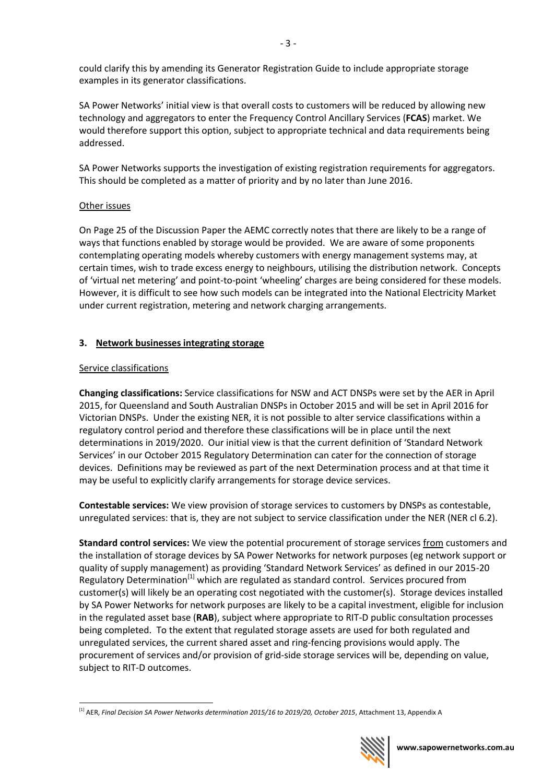could clarify this by amending its Generator Registration Guide to include appropriate storage examples in its generator classifications.

SA Power Networks' initial view is that overall costs to customers will be reduced by allowing new technology and aggregators to enter the Frequency Control Ancillary Services (**FCAS**) market. We would therefore support this option, subject to appropriate technical and data requirements being addressed.

SA Power Networks supports the investigation of existing registration requirements for aggregators. This should be completed as a matter of priority and by no later than June 2016.

# Other issues

On Page 25 of the Discussion Paper the AEMC correctly notes that there are likely to be a range of ways that functions enabled by storage would be provided. We are aware of some proponents contemplating operating models whereby customers with energy management systems may, at certain times, wish to trade excess energy to neighbours, utilising the distribution network. Concepts of 'virtual net metering' and point-to-point 'wheeling' charges are being considered for these models. However, it is difficult to see how such models can be integrated into the National Electricity Market under current registration, metering and network charging arrangements.

# **3. Network businesses integrating storage**

# Service classifications

**Changing classifications:** Service classifications for NSW and ACT DNSPs were set by the AER in April 2015, for Queensland and South Australian DNSPs in October 2015 and will be set in April 2016 for Victorian DNSPs. Under the existing NER, it is not possible to alter service classifications within a regulatory control period and therefore these classifications will be in place until the next determinations in 2019/2020. Our initial view is that the current definition of 'Standard Network Services' in our October 2015 Regulatory Determination can cater for the connection of storage devices. Definitions may be reviewed as part of the next Determination process and at that time it may be useful to explicitly clarify arrangements for storage device services.

**Contestable services:** We view provision of storage services to customers by DNSPs as contestable, unregulated services: that is, they are not subject to service classification under the NER (NER cl 6.2).

**Standard control services:** We view the potential procurement of storage services from customers and the installation of storage devices by SA Power Networks for network purposes (eg network support or quality of supply management) as providing 'Standard Network Services' as defined in our 2015-20 Regulatory Determination<sup>[1]</sup> which are regulated as standard control. Services procured from customer(s) will likely be an operating cost negotiated with the customer(s). Storage devices installed by SA Power Networks for network purposes are likely to be a capital investment, eligible for inclusion in the regulated asset base (**RAB**), subject where appropriate to RIT-D public consultation processes being completed. To the extent that regulated storage assets are used for both regulated and unregulated services, the current shared asset and ring-fencing provisions would apply. The procurement of services and/or provision of grid-side storage services will be, depending on value, subject to RIT-D outcomes.

<sup>1</sup> <sup>[1]</sup> AER, Final Decision SA Power Networks determination 2015/16 to 2019/20, October 2015, Attachment 13, Appendix A

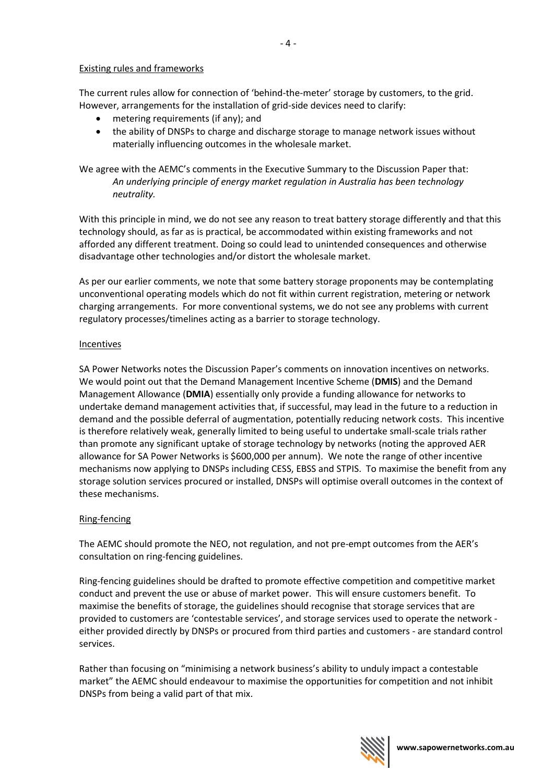## Existing rules and frameworks

The current rules allow for connection of 'behind-the-meter' storage by customers, to the grid. However, arrangements for the installation of grid-side devices need to clarify:

- metering requirements (if any); and
- the ability of DNSPs to charge and discharge storage to manage network issues without materially influencing outcomes in the wholesale market.

We agree with the AEMC's comments in the Executive Summary to the Discussion Paper that: *An underlying principle of energy market regulation in Australia has been technology neutrality.*

With this principle in mind, we do not see any reason to treat battery storage differently and that this technology should, as far as is practical, be accommodated within existing frameworks and not afforded any different treatment. Doing so could lead to unintended consequences and otherwise disadvantage other technologies and/or distort the wholesale market.

As per our earlier comments, we note that some battery storage proponents may be contemplating unconventional operating models which do not fit within current registration, metering or network charging arrangements. For more conventional systems, we do not see any problems with current regulatory processes/timelines acting as a barrier to storage technology.

## Incentives

SA Power Networks notes the Discussion Paper's comments on innovation incentives on networks. We would point out that the Demand Management Incentive Scheme (**DMIS**) and the Demand Management Allowance (**DMIA**) essentially only provide a funding allowance for networks to undertake demand management activities that, if successful, may lead in the future to a reduction in demand and the possible deferral of augmentation, potentially reducing network costs. This incentive is therefore relatively weak, generally limited to being useful to undertake small-scale trials rather than promote any significant uptake of storage technology by networks (noting the approved AER allowance for SA Power Networks is \$600,000 per annum). We note the range of other incentive mechanisms now applying to DNSPs including CESS, EBSS and STPIS. To maximise the benefit from any storage solution services procured or installed, DNSPs will optimise overall outcomes in the context of these mechanisms.

## Ring-fencing

The AEMC should promote the NEO, not regulation, and not pre-empt outcomes from the AER's consultation on ring-fencing guidelines.

Ring-fencing guidelines should be drafted to promote effective competition and competitive market conduct and prevent the use or abuse of market power. This will ensure customers benefit. To maximise the benefits of storage, the guidelines should recognise that storage services that are provided to customers are 'contestable services', and storage services used to operate the network either provided directly by DNSPs or procured from third parties and customers - are standard control services.

Rather than focusing on "minimising a network business's ability to unduly impact a contestable market" the AEMC should endeavour to maximise the opportunities for competition and not inhibit DNSPs from being a valid part of that mix.



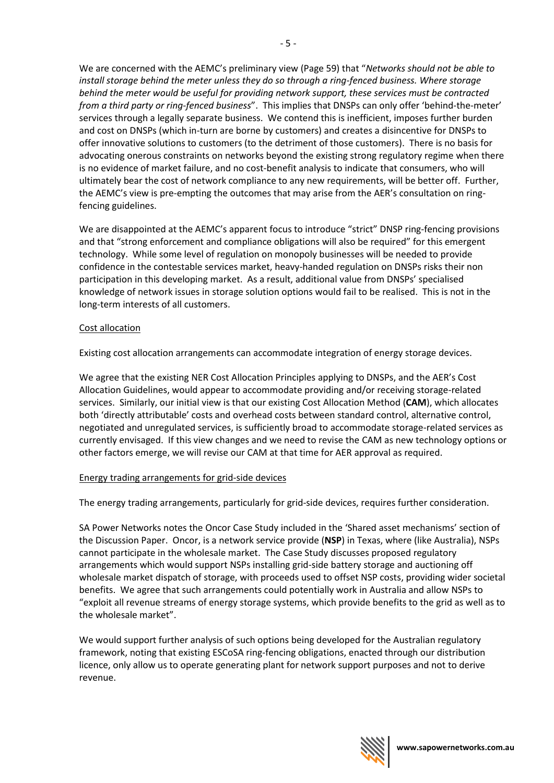We are concerned with the AEMC's preliminary view (Page 59) that "*Networks should not be able to install storage behind the meter unless they do so through a ring-fenced business. Where storage behind the meter would be useful for providing network support, these services must be contracted from a third party or ring-fenced business*". This implies that DNSPs can only offer 'behind-the-meter' services through a legally separate business. We contend this is inefficient, imposes further burden and cost on DNSPs (which in-turn are borne by customers) and creates a disincentive for DNSPs to offer innovative solutions to customers (to the detriment of those customers). There is no basis for advocating onerous constraints on networks beyond the existing strong regulatory regime when there is no evidence of market failure, and no cost-benefit analysis to indicate that consumers, who will ultimately bear the cost of network compliance to any new requirements, will be better off. Further, the AEMC's view is pre-empting the outcomes that may arise from the AER's consultation on ringfencing guidelines.

We are disappointed at the AEMC's apparent focus to introduce "strict" DNSP ring-fencing provisions and that "strong enforcement and compliance obligations will also be required" for this emergent technology. While some level of regulation on monopoly businesses will be needed to provide confidence in the contestable services market, heavy-handed regulation on DNSPs risks their non participation in this developing market. As a result, additional value from DNSPs' specialised knowledge of network issues in storage solution options would fail to be realised. This is not in the long-term interests of all customers.

# Cost allocation

Existing cost allocation arrangements can accommodate integration of energy storage devices.

We agree that the existing NER Cost Allocation Principles applying to DNSPs, and the AER's Cost Allocation Guidelines, would appear to accommodate providing and/or receiving storage-related services. Similarly, our initial view is that our existing Cost Allocation Method (**CAM**), which allocates both 'directly attributable' costs and overhead costs between standard control, alternative control, negotiated and unregulated services, is sufficiently broad to accommodate storage-related services as currently envisaged. If this view changes and we need to revise the CAM as new technology options or other factors emerge, we will revise our CAM at that time for AER approval as required.

# Energy trading arrangements for grid-side devices

The energy trading arrangements, particularly for grid-side devices, requires further consideration.

SA Power Networks notes the Oncor Case Study included in the 'Shared asset mechanisms' section of the Discussion Paper. Oncor, is a network service provide (**NSP**) in Texas, where (like Australia), NSPs cannot participate in the wholesale market. The Case Study discusses proposed regulatory arrangements which would support NSPs installing grid-side battery storage and auctioning off wholesale market dispatch of storage, with proceeds used to offset NSP costs, providing wider societal benefits. We agree that such arrangements could potentially work in Australia and allow NSPs to "exploit all revenue streams of energy storage systems, which provide benefits to the grid as well as to the wholesale market".

We would support further analysis of such options being developed for the Australian regulatory framework, noting that existing ESCoSA ring-fencing obligations, enacted through our distribution licence, only allow us to operate generating plant for network support purposes and not to derive revenue.